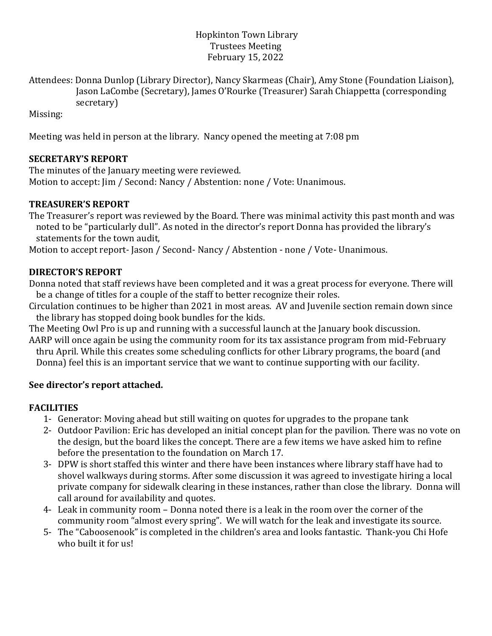#### Hopkinton Town Library Trustees Meeting February 15, 2022

Attendees: Donna Dunlop (Library Director), Nancy Skarmeas (Chair), Amy Stone (Foundation Liaison), Jason LaCombe (Secretary), James O'Rourke (Treasurer) Sarah Chiappetta (corresponding secretary)

Missing:

Meeting was held in person at the library. Nancy opened the meeting at 7:08 pm

## **SECRETARY'S REPORT**

The minutes of the January meeting were reviewed. Motion to accept: Jim / Second: Nancy / Abstention: none / Vote: Unanimous.

## **TREASURER'S REPORT**

The Treasurer's report was reviewed by the Board. There was minimal activity this past month and was noted to be "particularly dull". As noted in the director's report Donna has provided the library's statements for the town audit,

Motion to accept report- Jason / Second- Nancy / Abstention - none / Vote- Unanimous.

# **DIRECTOR'S REPORT**

Donna noted that staff reviews have been completed and it was a great process for everyone. There will be a change of titles for a couple of the staff to better recognize their roles.

Circulation continues to be higher than 2021 in most areas. AV and Juvenile section remain down since the library has stopped doing book bundles for the kids.

The Meeting Owl Pro is up and running with a successful launch at the January book discussion. AARP will once again be using the community room for its tax assistance program from mid-February

thru April. While this creates some scheduling conflicts for other Library programs, the board (and Donna) feel this is an important service that we want to continue supporting with our facility.

### **See director's report attached.**

# **FACILITIES**

- 1- Generator: Moving ahead but still waiting on quotes for upgrades to the propane tank
- 2- Outdoor Pavilion: Eric has developed an initial concept plan for the pavilion. There was no vote on the design, but the board likes the concept. There are a few items we have asked him to refine before the presentation to the foundation on March 17.
- 3- DPW is short staffed this winter and there have been instances where library staff have had to shovel walkways during storms. After some discussion it was agreed to investigate hiring a local private company for sidewalk clearing in these instances, rather than close the library. Donna will call around for availability and quotes.
- 4- Leak in community room Donna noted there is a leak in the room over the corner of the community room "almost every spring". We will watch for the leak and investigate its source.
- 5- The "Caboosenook" is completed in the children's area and looks fantastic. Thank-you Chi Hofe who built it for us!